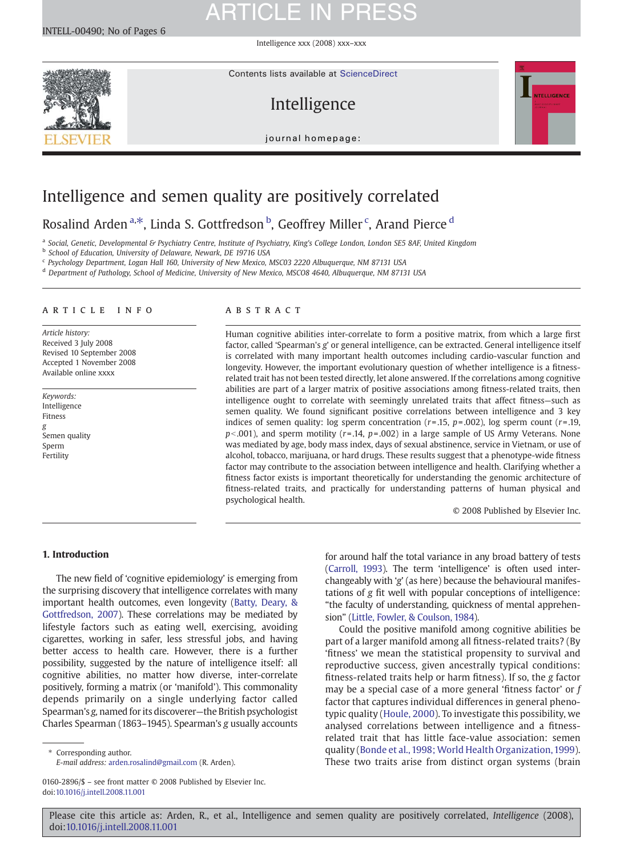Intelligence xxx (2008) xxx–xxx



Contents lists available at ScienceDirect

### Intelligence



 $\frac{1}{2}$ 

### Intelligence and semen quality are positively correlated

### Rosalind Arden<sup>a,\*</sup>, Linda S. Gottfredson <sup>b</sup>, Geoffrey Miller <sup>c</sup>, Arand Pierce <sup>d</sup>

a Social, Genetic, Developmental & Psychiatry Centre, Institute of Psychiatry, King's College London, London SE5 8AF, United Kingdom

<sup>b</sup> School of Education, University of Delaware, Newark, DE 19716 USA

<sup>c</sup> Psychology Department, Logan Hall 160, University of New Mexico, MSC03 2220 Albuquerque, NM 87131 USA

<sup>d</sup> Department of Pathology, School of Medicine, University of New Mexico, MSCO8 4640, Albuquerque, NM 87131 USA

#### article info abstract

Article history: Received 3 July 2008 Revised 10 September 2008 Accepted 1 November 2008 Available online xxxx

Keywords: Intelligence Fitness g Semen quality Sperm Fertility

Human cognitive abilities inter-correlate to form a positive matrix, from which a large first factor, called 'Spearman's g' or general intelligence, can be extracted. General intelligence itself is correlated with many important health outcomes including cardio-vascular function and longevity. However, the important evolutionary question of whether intelligence is a fitnessrelated trait has not been tested directly, let alone answered. If the correlations among cognitive abilities are part of a larger matrix of positive associations among fitness-related traits, then intelligence ought to correlate with seemingly unrelated traits that affect fitness—such as semen quality. We found significant positive correlations between intelligence and 3 key indices of semen quality: log sperm concentration  $(r=.15, p=.002)$ , log sperm count  $(r=.19, p=.002)$  $p<.001$ ), and sperm motility (r= .14, p= .002) in a large sample of US Army Veterans. None was mediated by age, body mass index, days of sexual abstinence, service in Vietnam, or use of alcohol, tobacco, marijuana, or hard drugs. These results suggest that a phenotype-wide fitness factor may contribute to the association between intelligence and health. Clarifying whether a fitness factor exists is important theoretically for understanding the genomic architecture of fitness-related traits, and practically for understanding patterns of human physical and psychological health.

© 2008 Published by Elsevier Inc.

### 1. Introduction

The new field of 'cognitive epidemiology' is emerging from the surprising discovery that intelligence correlates with many important health outcomes, even longevity ([Batty, Deary, &](#page-4-0) [Gottfredson, 2007](#page-4-0)). These correlations may be mediated by lifestyle factors such as eating well, exercising, avoiding cigarettes, working in safer, less stressful jobs, and having better access to health care. However, there is a further possibility, suggested by the nature of intelligence itself: all cognitive abilities, no matter how diverse, inter-correlate positively, forming a matrix (or 'manifold'). This commonality depends primarily on a single underlying factor called Spearman's g, named for its discoverer—the British psychologist Charles Spearman (1863–1945). Spearman's g usually accounts

⁎ Corresponding author. E-mail address: [arden.rosalind@gmail.com](mailto:arden.rosalind@gmail.com) (R. Arden).

0160-2896/\$ – see front matter © 2008 Published by Elsevier Inc. doi[:10.1016/j.intell.2008.11.001](http://dx.doi.org/10.1016/j.intell.2008.11.001)

for around half the total variance in any broad battery of tests ([Carroll, 1993](#page-4-0)). The term 'intelligence' is often used interchangeably with 'g' (as here) because the behavioural manifestations of g fit well with popular conceptions of intelligence: "the faculty of understanding, quickness of mental apprehension" [\(Little, Fowler, & Coulson, 1984\)](#page-4-0).

Could the positive manifold among cognitive abilities be part of a larger manifold among all fitness-related traits? (By 'fitness' we mean the statistical propensity to survival and reproductive success, given ancestrally typical conditions: fitness-related traits help or harm fitness). If so, the g factor may be a special case of a more general 'fitness factor' or f factor that captures individual differences in general phenotypic quality [\(Houle, 2000\)](#page-4-0). To investigate this possibility, we analysed correlations between intelligence and a fitnessrelated trait that has little face-value association: semen quality ([Bonde et al., 1998; World Health Organization, 1999](#page-4-0)). These two traits arise from distinct organ systems (brain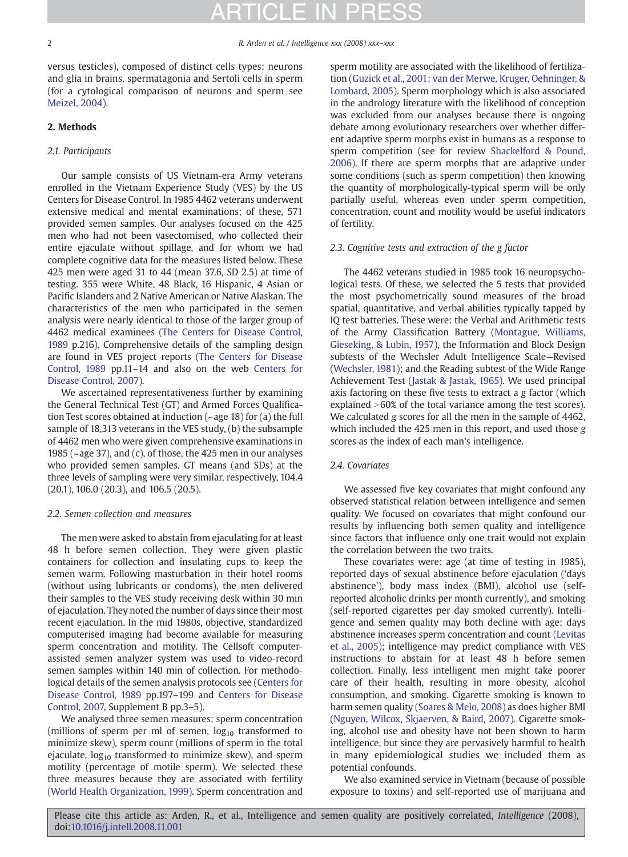## **FIN PR**

versus testicles), composed of distinct cells types: neurons and glia in brains, spermatagonia and Sertoli cells in sperm (for a cytological comparison of neurons and sperm see [Meizel, 2004\)](#page-4-0).

### 2. Methods

### 2.1. Participants

Our sample consists of US Vietnam-era Army veterans enrolled in the Vietnam Experience Study (VES) by the US Centers for Disease Control. In 1985 4462 veterans underwent extensive medical and mental examinations; of these, 571 provided semen samples. Our analyses focused on the 425 men who had not been vasectomised, who collected their entire ejaculate without spillage, and for whom we had complete cognitive data for the measures listed below. These 425 men were aged 31 to 44 (mean 37.6, SD 2.5) at time of testing. 355 were White, 48 Black, 16 Hispanic, 4 Asian or Pacific Islanders and 2 Native American or Native Alaskan. The characteristics of the men who participated in the semen analysis were nearly identical to those of the larger group of 4462 medical examinees ([The Centers for Disease Control,](#page-4-0) [1989](#page-4-0) p.216). Comprehensive details of the sampling design are found in VES project reports ([The Centers for Disease](#page-4-0) [Control, 1989](#page-4-0) pp.11–14 and also on the web [Centers for](#page-4-0) [Disease Control, 2007](#page-4-0)).

We ascertained representativeness further by examining the General Technical Test (GT) and Armed Forces Qualification Test scores obtained at induction (~age 18) for (a) the full sample of 18,313 veterans in the VES study, (b) the subsample of 4462 men who were given comprehensive examinations in 1985 ( $\sim$ age 37), and (c), of those, the 425 men in our analyses who provided semen samples. GT means (and SDs) at the three levels of sampling were very similar, respectively, 104.4 (20.1), 106.0 (20.3), and 106.5 (20.5).

#### 2.2. Semen collection and measures

The men were asked to abstain from ejaculating for at least 48 h before semen collection. They were given plastic containers for collection and insulating cups to keep the semen warm. Following masturbation in their hotel rooms (without using lubricants or condoms), the men delivered their samples to the VES study receiving desk within 30 min of ejaculation. They noted the number of days since their most recent ejaculation. In the mid 1980s, objective, standardized computerised imaging had become available for measuring sperm concentration and motility. The Cellsoft computerassisted semen analyzer system was used to video-record semen samples within 140 min of collection. For methodological details of the semen analysis protocols see ([Centers for](#page-4-0) [Disease Control, 1989](#page-4-0) pp.197–199 and [Centers for Disease](#page-4-0) [Control, 2007,](#page-4-0) Supplement B pp.3–5).

We analysed three semen measures: sperm concentration (millions of sperm per ml of semen,  $log_{10}$  transformed to minimize skew), sperm count (millions of sperm in the total ejaculate,  $log_{10}$  transformed to minimize skew), and sperm motility (percentage of motile sperm). We selected these three measures because they are associated with fertility [\(World Health Organization, 1999](#page-5-0)). Sperm concentration and

sperm motility are associated with the likelihood of fertilization [\(Guzick et al., 2001; van der Merwe, Kruger, Oehninger, &](#page-4-0) [Lombard, 2005](#page-4-0)). Sperm morphology which is also associated in the andrology literature with the likelihood of conception was excluded from our analyses because there is ongoing debate among evolutionary researchers over whether different adaptive sperm morphs exist in humans as a response to sperm competition (see for review [Shackelford & Pound,](#page-4-0) [2006\)](#page-4-0). If there are sperm morphs that are adaptive under some conditions (such as sperm competition) then knowing the quantity of morphologically-typical sperm will be only partially useful, whereas even under sperm competition, concentration, count and motility would be useful indicators of fertility.

### 2.3. Cognitive tests and extraction of the g factor

The 4462 veterans studied in 1985 took 16 neuropsychological tests. Of these, we selected the 5 tests that provided the most psychometrically sound measures of the broad spatial, quantitative, and verbal abilities typically tapped by IQ test batteries. These were: the Verbal and Arithmetic tests of the Army Classification Battery ([Montague, Williams,](#page-4-0) [Gieseking, & Lubin, 1957](#page-4-0)), the Information and Block Design subtests of the Wechsler Adult Intelligence Scale—Revised [\(Wechsler, 1981\)](#page-5-0); and the Reading subtest of the Wide Range Achievement Test [\(Jastak & Jastak, 1965\)](#page-4-0). We used principal axis factoring on these five tests to extract a g factor (which explained  $>60\%$  of the total variance among the test scores). We calculated g scores for all the men in the sample of 4462, which included the 425 men in this report, and used those g scores as the index of each man's intelligence.

### 2.4. Covariates

We assessed five key covariates that might confound any observed statistical relation between intelligence and semen quality. We focused on covariates that might confound our results by influencing both semen quality and intelligence since factors that influence only one trait would not explain the correlation between the two traits.

These covariates were: age (at time of testing in 1985), reported days of sexual abstinence before ejaculation ('days abstinence'), body mass index (BMI), alcohol use (selfreported alcoholic drinks per month currently), and smoking (self-reported cigarettes per day smoked currently). Intelligence and semen quality may both decline with age; days abstinence increases sperm concentration and count [\(Levitas](#page-4-0) [et al., 2005\)](#page-4-0); intelligence may predict compliance with VES instructions to abstain for at least 48 h before semen collection. Finally, less intelligent men might take poorer care of their health, resulting in more obesity, alcohol consumption, and smoking. Cigarette smoking is known to harm semen quality ([Soares & Melo, 2008](#page-5-0)) as does higher BMI [\(Nguyen, Wilcox, Skjaerven, & Baird, 2007](#page-4-0)). Cigarette smoking, alcohol use and obesity have not been shown to harm intelligence, but since they are pervasively harmful to health in many epidemiological studies we included them as potential confounds.

We also examined service in Vietnam (because of possible exposure to toxins) and self-reported use of marijuana and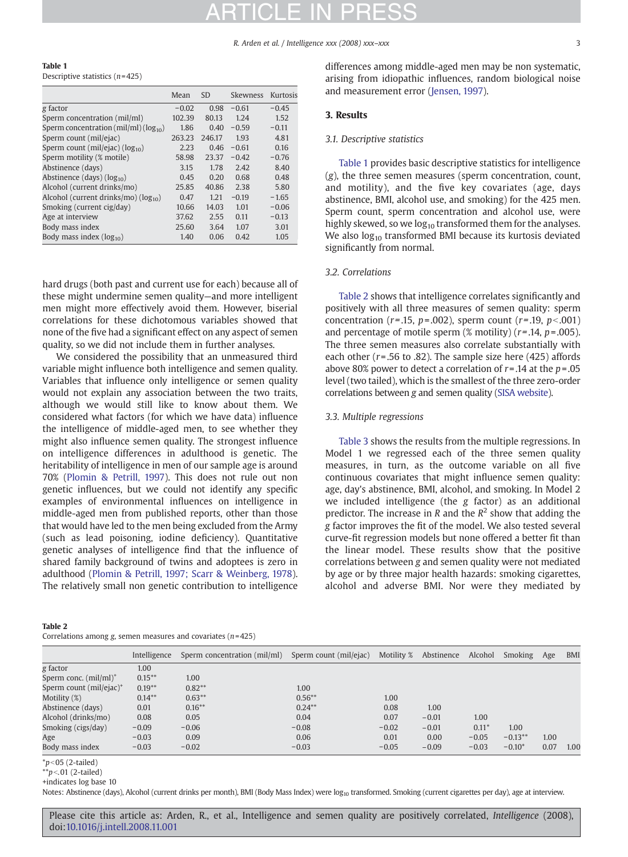R. Arden et al. / Intelligence xxx (2008) xxx–xxx 3

|--|

Descriptive statistics  $(n=425)$ 

|                                             | Mean    | <b>SD</b> | Skewness | Kurtosis |
|---------------------------------------------|---------|-----------|----------|----------|
| g factor                                    | $-0.02$ | 0.98      | $-0.61$  | $-0.45$  |
| Sperm concentration (mil/ml)                | 102.39  | 80.13     | 1.24     | 1.52     |
| Sperm concentration (mil/ml) ( $log_{10}$ ) | 1.86    | 0.40      | $-0.59$  | $-0.11$  |
| Sperm count (mil/ejac)                      | 263.23  | 246.17    | 1.93     | 4.81     |
| Sperm count (mil/ejac) ( $log_{10}$ )       | 2.23    | 0.46      | $-0.61$  | 0.16     |
| Sperm motility (% motile)                   | 58.98   | 23.37     | $-0.42$  | $-0.76$  |
| Abstinence (days)                           | 3.15    | 1.78      | 2.42     | 8.40     |
| Abstinence (days) $(log_{10})$              | 0.45    | 0.20      | 0.68     | 0.48     |
| Alcohol (current drinks/mo)                 | 25.85   | 40.86     | 2.38     | 5.80     |
| Alcohol (current drinks/mo) ( $log_{10}$ )  | 0.47    | 1.21      | $-0.19$  | $-1.65$  |
| Smoking (current cig/day)                   | 10.66   | 14.03     | 1.01     | $-0.06$  |
| Age at interview                            | 37.62   | 2.55      | 0.11     | $-0.13$  |
| Body mass index                             | 25.60   | 3.64      | 1.07     | 3.01     |
| Body mass index $(log_{10})$                | 1.40    | 0.06      | 0.42     | 1.05     |

hard drugs (both past and current use for each) because all of these might undermine semen quality—and more intelligent men might more effectively avoid them. However, biserial correlations for these dichotomous variables showed that none of the five had a significant effect on any aspect of semen quality, so we did not include them in further analyses.

We considered the possibility that an unmeasured third variable might influence both intelligence and semen quality. Variables that influence only intelligence or semen quality would not explain any association between the two traits, although we would still like to know about them. We considered what factors (for which we have data) influence the intelligence of middle-aged men, to see whether they might also influence semen quality. The strongest influence on intelligence differences in adulthood is genetic. The heritability of intelligence in men of our sample age is around 70% [\(Plomin & Petrill, 1997\)](#page-4-0). This does not rule out non genetic influences, but we could not identify any specific examples of environmental influences on intelligence in middle-aged men from published reports, other than those that would have led to the men being excluded from the Army (such as lead poisoning, iodine deficiency). Quantitative genetic analyses of intelligence find that the influence of shared family background of twins and adoptees is zero in adulthood ([Plomin & Petrill, 1997; Scarr & Weinberg, 1978](#page-4-0)). The relatively small non genetic contribution to intelligence

Table 2

Correlations among  $g$ , semen measures and covariates  $(n= 425)$ 

differences among middle-aged men may be non systematic, arising from idiopathic influences, random biological noise and measurement error ([Jensen, 1997\)](#page-4-0).

### 3. Results

### 3.1. Descriptive statistics

Table 1 provides basic descriptive statistics for intelligence (g), the three semen measures (sperm concentration, count, and motility), and the five key covariates (age, days abstinence, BMI, alcohol use, and smoking) for the 425 men. Sperm count, sperm concentration and alcohol use, were highly skewed, so we  $log_{10}$  transformed them for the analyses. We also  $log_{10}$  transformed BMI because its kurtosis deviated significantly from normal.

### 3.2. Correlations

Table 2 shows that intelligence correlates significantly and positively with all three measures of semen quality: sperm concentration ( $r = .15$ ,  $p = .002$ ), sperm count ( $r = .19$ ,  $p < .001$ ) and percentage of motile sperm  $(\%$  motility)  $(r=.14, p=.005)$ . The three semen measures also correlate substantially with each other ( $r = .56$  to  $.82$ ). The sample size here (425) affords above 80% power to detect a correlation of  $r = .14$  at the  $p = .05$ level (two tailed), which is the smallest of the three zero-order correlations between g and semen quality [\(SISA website](#page-5-0)).

### 3.3. Multiple regressions

[Table 3](#page-3-0) shows the results from the multiple regressions. In Model 1 we regressed each of the three semen quality measures, in turn, as the outcome variable on all five continuous covariates that might influence semen quality: age, day's abstinence, BMI, alcohol, and smoking. In Model 2 we included intelligence (the g factor) as an additional predictor. The increase in R and the  $R^2$  show that adding the g factor improves the fit of the model. We also tested several curve-fit regression models but none offered a better fit than the linear model. These results show that the positive correlations between g and semen quality were not mediated by age or by three major health hazards: smoking cigarettes, alcohol and adverse BMI. Nor were they mediated by

|                                     | Intelligence | Sperm concentration (mil/ml) | Sperm count (mil/ejac) | Motility % | Abstinence | Alcohol | Smoking   | Age  | <b>BMI</b> |
|-------------------------------------|--------------|------------------------------|------------------------|------------|------------|---------|-----------|------|------------|
| g factor                            | 1.00         |                              |                        |            |            |         |           |      |            |
| Sperm conc. (mil/ml) <sup>+</sup>   | $0.15***$    | 1.00                         |                        |            |            |         |           |      |            |
| Sperm count (mil/ejac) <sup>+</sup> | $0.19***$    | $0.82**$                     | 1.00                   |            |            |         |           |      |            |
| Motility (%)                        | $0.14***$    | $0.63***$                    | $0.56***$              | 1.00       |            |         |           |      |            |
| Abstinence (days)                   | 0.01         | $0.16***$                    | $0.24***$              | 0.08       | 1.00       |         |           |      |            |
| Alcohol (drinks/mo)                 | 0.08         | 0.05                         | 0.04                   | 0.07       | $-0.01$    | 1.00    |           |      |            |
| Smoking (cigs/day)                  | $-0.09$      | $-0.06$                      | $-0.08$                | $-0.02$    | $-0.01$    | $0.11*$ | 1.00      |      |            |
| Age                                 | $-0.03$      | 0.09                         | 0.06                   | 0.01       | 0.00       | $-0.05$ | $-0.13**$ | 1.00 |            |
| Body mass index                     | $-0.03$      | $-0.02$                      | $-0.03$                | $-0.05$    | $-0.09$    | $-0.03$ | $-0.10*$  | 0.07 | 1.00       |

 $*p<$  05 (2-tailed)

 $*p<.01$  (2-tailed)

+indicates log base 10

Notes: Abstinence (days), Alcohol (current drinks per month), BMI (Body Mass Index) were log<sub>10</sub> transformed. Smoking (current cigarettes per day), age at interview.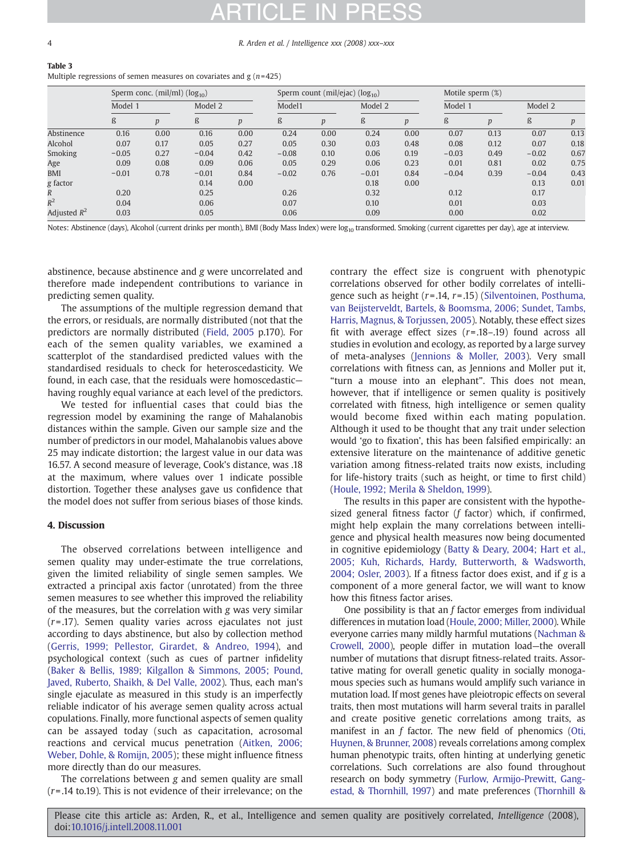#### <span id="page-3-0"></span>4 R. Arden et al. / Intelligence xxx (2008) xxx–xxx

### Table 3 Multiple regressions of semen measures on covariates and  $g(n=425)$

|                | Sperm conc. $(mil/ml)$ $(log_{10})$ |                  |         |      | Sperm count (mil/ejac) (log <sub>10</sub> ) |      |         | Motile sperm (%) |         |                  |         |      |
|----------------|-------------------------------------|------------------|---------|------|---------------------------------------------|------|---------|------------------|---------|------------------|---------|------|
|                | Model 1                             |                  | Model 2 |      | Model1                                      |      | Model 2 |                  | Model 1 |                  | Model 2 |      |
|                | ß                                   | $\boldsymbol{p}$ | ß       | p    | ß                                           | p    | ß       | p                | ß       | $\boldsymbol{D}$ | ß       | p    |
| Abstinence     | 0.16                                | 0.00             | 0.16    | 0.00 | 0.24                                        | 0.00 | 0.24    | 0.00             | 0.07    | 0.13             | 0.07    | 0.13 |
| Alcohol        | 0.07                                | 0.17             | 0.05    | 0.27 | 0.05                                        | 0.30 | 0.03    | 0.48             | 0.08    | 0.12             | 0.07    | 0.18 |
| <b>Smoking</b> | $-0.05$                             | 0.27             | $-0.04$ | 0.42 | $-0.08$                                     | 0.10 | 0.06    | 0.19             | $-0.03$ | 0.49             | $-0.02$ | 0.67 |
| Age            | 0.09                                | 0.08             | 0.09    | 0.06 | 0.05                                        | 0.29 | 0.06    | 0.23             | 0.01    | 0.81             | 0.02    | 0.75 |
| <b>BMI</b>     | $-0.01$                             | 0.78             | $-0.01$ | 0.84 | $-0.02$                                     | 0.76 | $-0.01$ | 0.84             | $-0.04$ | 0.39             | $-0.04$ | 0.43 |
| g factor       |                                     |                  | 0.14    | 0.00 |                                             |      | 0.18    | 0.00             |         |                  | 0.13    | 0.01 |
| R              | 0.20                                |                  | 0.25    |      | 0.26                                        |      | 0.32    |                  | 0.12    |                  | 0.17    |      |
| $R^2$          | 0.04                                |                  | 0.06    |      | 0.07                                        |      | 0.10    |                  | 0.01    |                  | 0.03    |      |
| Adjusted $R^2$ | 0.03                                |                  | 0.05    |      | 0.06                                        |      | 0.09    |                  | 0.00    |                  | 0.02    |      |

Notes: Abstinence (days), Alcohol (current drinks per month), BMI (Body Mass Index) were  $log_{10}$  transformed. Smoking (current cigarettes per day), age at interview.

abstinence, because abstinence and g were uncorrelated and therefore made independent contributions to variance in predicting semen quality.

The assumptions of the multiple regression demand that the errors, or residuals, are normally distributed (not that the predictors are normally distributed ([Field, 2005](#page-4-0) p.170). For each of the semen quality variables, we examined a scatterplot of the standardised predicted values with the standardised residuals to check for heteroscedasticity. We found, in each case, that the residuals were homoscedastic having roughly equal variance at each level of the predictors.

We tested for influential cases that could bias the regression model by examining the range of Mahalanobis distances within the sample. Given our sample size and the number of predictors in our model, Mahalanobis values above 25 may indicate distortion; the largest value in our data was 16.57. A second measure of leverage, Cook's distance, was .18 at the maximum, where values over 1 indicate possible distortion. Together these analyses gave us confidence that the model does not suffer from serious biases of those kinds.

### 4. Discussion

The observed correlations between intelligence and semen quality may under-estimate the true correlations, given the limited reliability of single semen samples. We extracted a principal axis factor (unrotated) from the three semen measures to see whether this improved the reliability of the measures, but the correlation with g was very similar  $(r= .17)$ . Semen quality varies across ejaculates not just according to days abstinence, but also by collection method [\(Gerris, 1999; Pellestor, Girardet, & Andreo, 1994\)](#page-4-0), and psychological context (such as cues of partner infidelity [\(Baker & Bellis, 1989; Kilgallon & Simmons, 2005; Pound,](#page-4-0) [Javed, Ruberto, Shaikh, & Del Valle, 2002\)](#page-4-0). Thus, each man's single ejaculate as measured in this study is an imperfectly reliable indicator of his average semen quality across actual copulations. Finally, more functional aspects of semen quality can be assayed today (such as capacitation, acrosomal reactions and cervical mucus penetration [\(Aitken, 2006;](#page-4-0) [Weber, Dohle, & Romijn, 2005\)](#page-4-0); these might influence fitness more directly than do our measures.

The correlations between g and semen quality are small  $(r=0.14$  to.19). This is not evidence of their irrelevance; on the

contrary the effect size is congruent with phenotypic correlations observed for other bodily correlates of intelligence such as height  $(r=.14, r=.15)$  ([Silventoinen, Posthuma,](#page-5-0) [van Beijsterveldt, Bartels, & Boomsma, 2006; Sundet, Tambs,](#page-5-0) [Harris, Magnus, & Torjussen, 2005\)](#page-5-0). Notably, these effect sizes fit with average effect sizes  $(r=.18-.19)$  found across all studies in evolution and ecology, as reported by a large survey of meta-analyses [\(Jennions & Moller, 2003\)](#page-4-0). Very small correlations with fitness can, as Jennions and Moller put it, "turn a mouse into an elephant". This does not mean, however, that if intelligence or semen quality is positively correlated with fitness, high intelligence or semen quality would become fixed within each mating population. Although it used to be thought that any trait under selection would 'go to fixation', this has been falsified empirically: an extensive literature on the maintenance of additive genetic variation among fitness-related traits now exists, including for life-history traits (such as height, or time to first child) [\(Houle, 1992; Merila & Sheldon, 1999\)](#page-4-0).

The results in this paper are consistent with the hypothesized general fitness factor (f factor) which, if confirmed, might help explain the many correlations between intelligence and physical health measures now being documented in cognitive epidemiology ([Batty & Deary, 2004; Hart et al.,](#page-4-0) [2005; Kuh, Richards, Hardy, Butterworth, & Wadsworth,](#page-4-0) [2004; Osler, 2003\)](#page-4-0). If a fitness factor does exist, and if g is a component of a more general factor, we will want to know how this fitness factor arises.

One possibility is that an  $f$  factor emerges from individual differences in mutation load ([Houle, 2000; Miller, 2000\)](#page-4-0). While everyone carries many mildly harmful mutations [\(Nachman &](#page-4-0) [Crowell, 2000\)](#page-4-0), people differ in mutation load—the overall number of mutations that disrupt fitness-related traits. Assortative mating for overall genetic quality in socially monogamous species such as humans would amplify such variance in mutation load. If most genes have pleiotropic effects on several traits, then most mutations will harm several traits in parallel and create positive genetic correlations among traits, as manifest in an f factor. The new field of phenomics [\(Oti,](#page-4-0) [Huynen, & Brunner, 2008\)](#page-4-0) reveals correlations among complex human phenotypic traits, often hinting at underlying genetic correlations. Such correlations are also found throughout research on body symmetry [\(Furlow, Armijo-Prewitt, Gang](#page-4-0)[estad, & Thornhill, 1997\)](#page-4-0) and mate preferences ([Thornhill &](#page-5-0)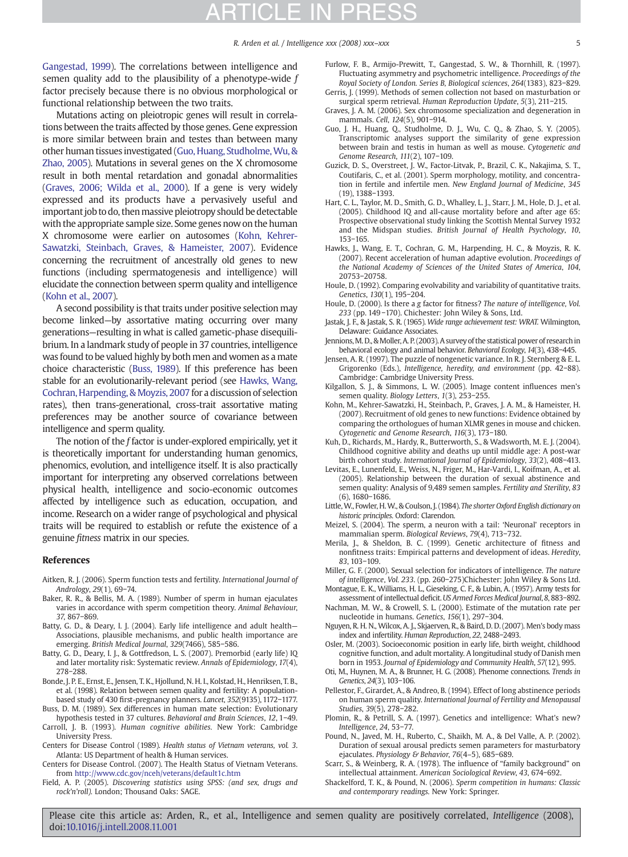# **RTICLE IN PR**

<span id="page-4-0"></span>[Gangestad, 1999\)](#page-5-0). The correlations between intelligence and semen quality add to the plausibility of a phenotype-wide  $f$ factor precisely because there is no obvious morphological or functional relationship between the two traits.

Mutations acting on pleiotropic genes will result in correlations between the traits affected by those genes. Gene expression is more similar between brain and testes than between many other human tissues investigated (Guo, Huang, Studholme, Wu, & Zhao, 2005). Mutations in several genes on the X chromosome result in both mental retardation and gonadal abnormalities (Graves, 2006; Wilda et al., 2000). If a gene is very widely expressed and its products have a pervasively useful and important job to do, then massive pleiotropy should be detectable with the appropriate sample size. Some genes now on the human X chromosome were earlier on autosomes (Kohn, Kehrer-Sawatzki, Steinbach, Graves, & Hameister, 2007). Evidence concerning the recruitment of ancestrally old genes to new functions (including spermatogenesis and intelligence) will elucidate the connection between sperm quality and intelligence (Kohn et al., 2007).

A second possibility is that traits under positive selection may become linked—by assortative mating occurring over many generations—resulting in what is called gametic-phase disequilibrium. In a landmark study of people in 37 countries, intelligence was found to be valued highly by both men and women as a mate choice characteristic (Buss, 1989). If this preference has been stable for an evolutionarily-relevant period (see Hawks, Wang, Cochran, Harpending, & Moyzis, 2007 for a discussion of selection rates), then trans-generational, cross-trait assortative mating preferences may be another source of covariance between intelligence and sperm quality.

The notion of the f factor is under-explored empirically, yet it is theoretically important for understanding human genomics, phenomics, evolution, and intelligence itself. It is also practically important for interpreting any observed correlations between physical health, intelligence and socio-economic outcomes affected by intelligence such as education, occupation, and income. Research on a wider range of psychological and physical traits will be required to establish or refute the existence of a genuine fitness matrix in our species.

### References

- Aitken, R. J. (2006). Sperm function tests and fertility. International Journal of Andrology, 29(1), 69−74.
- Baker, R. R., & Bellis, M. A. (1989). Number of sperm in human ejaculates varies in accordance with sperm competition theory. Animal Behaviour, 37, 867−869.
- Batty, G. D., & Deary, I. J. (2004). Early life intelligence and adult health— Associations, plausible mechanisms, and public health importance are emerging. British Medical Journal, 329(7466), 585−586.
- Batty, G. D., Deary, I. J., & Gottfredson, L. S. (2007). Premorbid (early life) IQ and later mortality risk: Systematic review. Annals of Epidemiology, 17(4), 278−288.
- Bonde, J. P. E., Ernst, E., Jensen, T. K., Hjollund, N. H. I., Kolstad, H., Henriksen, T. B., et al. (1998). Relation between semen quality and fertility: A populationbased study of 430 first-pregnancy planners. Lancet, 352(9135), 1172−1177.
- Buss, D. M. (1989). Sex differences in human mate selection: Evolutionary hypothesis tested in 37 cultures. Behavioral and Brain Sciences, 12, 1−49.
- Carroll, J. B. (1993). Human cognitive abilities. New York: Cambridge University Press.
- Centers for Disease Control (1989). Health status of Vietnam veterans, vol. 3. Atlanta: US Department of health & Human services.
- Centers for Disease Control. (2007). The Health Status of Vietnam Veterans. from <http://www.cdc.gov/nceh/veterans/default1c.htm>
- Field, A. P. (2005). Discovering statistics using SPSS: (and sex, drugs and rock'n'roll). London; Thousand Oaks: SAGE.
- Furlow, F. B., Armijo-Prewitt, T., Gangestad, S. W., & Thornhill, R. (1997). Fluctuating asymmetry and psychometric intelligence. Proceedings of the Royal Society of London. Series B, Biological sciences, 264(1383), 823−829. Gerris, J. (1999). Methods of semen collection not based on masturbation or
- surgical sperm retrieval. Human Reproduction Update, 5(3), 211−215.
- Graves, J. A. M. (2006). Sex chromosome specialization and degeneration in mammals. Cell, 124(5), 901−914.
- Guo, J. H., Huang, Q., Studholme, D. J., Wu, C. Q., & Zhao, S. Y. (2005). Transcriptomic analyses support the similarity of gene expression between brain and testis in human as well as mouse. Cytogenetic and Genome Research, 111(2), 107−109.
- Guzick, D. S., Overstreet, J. W., Factor-Litvak, P., Brazil, C. K., Nakajima, S. T., Coutifaris, C., et al. (2001). Sperm morphology, motility, and concentration in fertile and infertile men. New England Journal of Medicine, 345 (19), 1388−1393.
- Hart, C. L., Taylor, M. D., Smith, G. D., Whalley, L. J., Starr, J. M., Hole, D. J., et al. (2005). Childhood IQ and all-cause mortality before and after age 65: Prospective observational study linking the Scottish Mental Survey 1932 and the Midspan studies. British Journal of Health Psychology, 10, 153−165.
- Hawks, J., Wang, E. T., Cochran, G. M., Harpending, H. C., & Moyzis, R. K. (2007). Recent acceleration of human adaptive evolution. Proceedings of the National Academy of Sciences of the United States of America, 104, 20753−20758.
- Houle, D. (1992). Comparing evolvability and variability of quantitative traits. Genetics, 130(1), 195−204.
- Houle, D. (2000). Is there a g factor for fitness? The nature of intelligence, Vol. 233 (pp. 149 −170). Chichester: John Wiley & Sons, Ltd.
- Jastak, J. F., & Jastak, S. R. (1965). Wide range achievement test: WRAT. Wilmington, Delaware: Guidance Associates.
- Jennions, M. D., & Moller, A. P. (2003). A survey of the statistical power of research in behavioral ecology and animal behavior. Behavioral Ecology, 14(3), 438−445.
- Jensen, A. R. (1997). The puzzle of nongenetic variance. In R. J. Sternberg & E. L. Grigorenko (Eds.), Intelligence, heredity, and environment (pp. 42−88). Cambridge: Cambridge University Press.
- Kilgallon, S. J., & Simmons, L. W. (2005). Image content influences men's semen quality. Biology Letters, 1(3), 253−255.
- Kohn, M., Kehrer-Sawatzki, H., Steinbach, P., Graves, J. A. M., & Hameister, H. (2007). Recruitment of old genes to new functions: Evidence obtained by comparing the orthologues of human XLMR genes in mouse and chicken. Cytogenetic and Genome Research, 116(3), 173−180.
- Kuh, D., Richards, M., Hardy, R., Butterworth, S., & Wadsworth, M. E. J. (2004). Childhood cognitive ability and deaths up until middle age: A post-war birth cohort study. International Journal of Epidemiology, 33(2), 408−413.
- Levitas, E., Lunenfeld, E., Weiss, N., Friger, M., Har-Vardi, I., Koifman, A., et al. (2005). Relationship between the duration of sexual abstinence and semen quality: Analysis of 9,489 semen samples. Fertility and Sterility, 83 (6), 1680−1686.
- Little,W., Fowler, H.W., & Coulson, J. (1984). The shorter Oxford English dictionary on historic principles. Oxford: Clarendon.
- Meizel, S. (2004). The sperm, a neuron with a tail: 'Neuronal' receptors in mammalian sperm. Biological Reviews, 79(4), 713−732.
- Merila, J., & Sheldon, B. C. (1999). Genetic architecture of fitness and nonfitness traits: Empirical patterns and development of ideas. Heredity, 83, 103−109.
- Miller, G. F. (2000). Sexual selection for indicators of intelligence. The nature of intelligence, Vol. 233. (pp. 260−275)Chichester: John Wiley & Sons Ltd.
- Montague, E. K., Williams, H. L., Gieseking, C. F., & Lubin, A. (1957). Army tests for assessment of intellectual deficit.US Armed Forces Medical Journal, 8, 883−892.
- Nachman, M. W., & Crowell, S. L. (2000). Estimate of the mutation rate per nucleotide in humans. Genetics, 156(1), 297−304.
- Nguyen, R. H. N., Wilcox, A. J., Skjaerven, R., & Baird, D. D. (2007). Men's body mass index and infertility. Human Reproduction, 22, 2488−2493.
- Osler, M. (2003). Socioeconomic position in early life, birth weight, childhood cognitive function, and adult mortality. A longitudinal study of Danish men born in 1953. Journal of Epidemiology and Community Health, 57(12), 995.
- Oti, M., Huynen, M. A., & Brunner, H. G. (2008). Phenome connections. Trends in Genetics, 24(3), 103−106.
- Pellestor, F., Girardet, A., & Andreo, B. (1994). Effect of long abstinence periods on human sperm quality. International Journal of Fertility and Menopausal Studies, 39(5), 278−282.
- Plomin, R., & Petrill, S. A. (1997). Genetics and intelligence: What's new? Intelligence, 24, 53−77.
- Pound, N., Javed, M. H., Ruberto, C., Shaikh, M. A., & Del Valle, A. P. (2002). Duration of sexual arousal predicts semen parameters for masturbatory ejaculates. Physiology & Behavior, 76(4–5), 685−689.
- Scarr, S., & Weinberg, R. A. (1978). The influence of "family background" on intellectual attainment. American Sociological Review, 43, 674−692.
- Shackelford, T. K., & Pound, N. (2006). Sperm competition in humans: Classic and contemporary readings. New York: Springer.